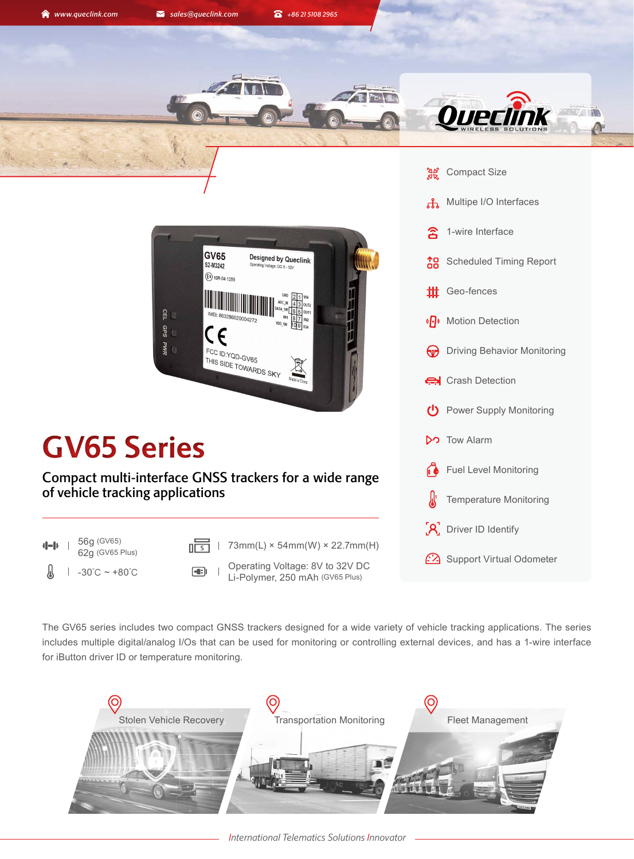





## **GV65 Series**

Compact multi-interface GNSS trackers for a wide range of vehicle tracking applications

56g (GV65)  $d = b$ 



- 
- $-30^{\circ}$ C ~ +80 $^{\circ}$ C  $-30^{\circ}$ C  $-1$   $\downarrow$  is Determing Voltage: 8V to 32V DC Li-Polymer, 250 mAh (GV65 Plus)



The GV65 series includes two compact GNSS trackers designed for a wide variety of vehicle tracking applications. The series includes multiple digital/analog I/Os that can be used for monitoring or controlling external devices, and has a 1-wire interface for iButton driver ID or temperature monitoring.